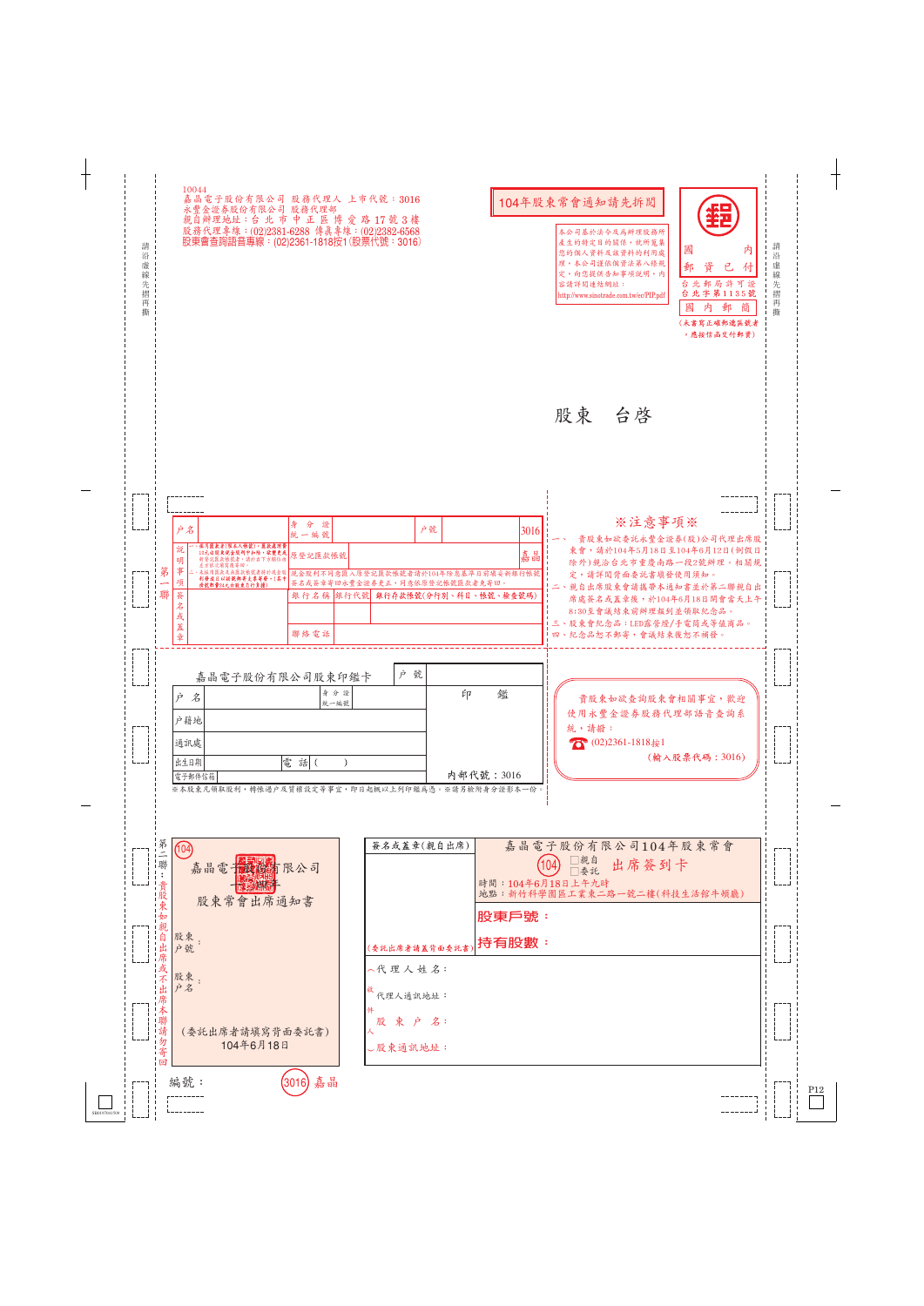